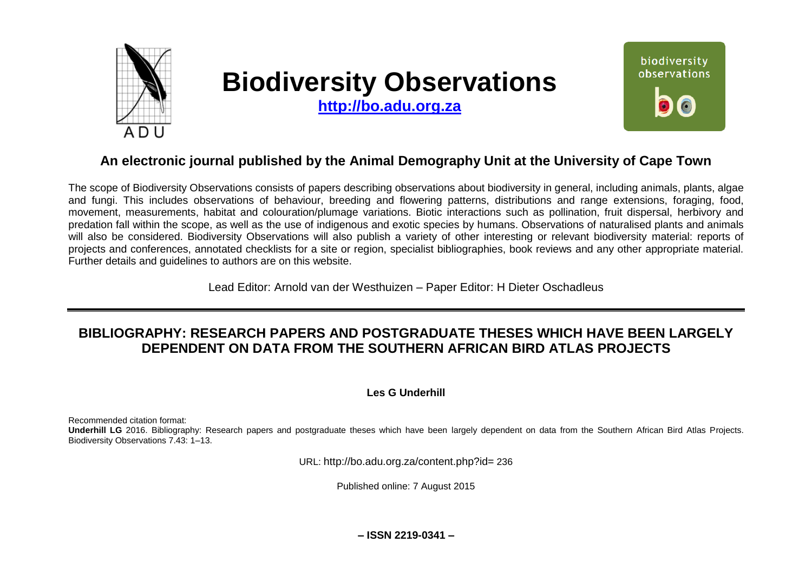

# **Biodiversity Observations**

**[http://bo.adu.org.za](http://bo.adu.org.za/)**



# **An electronic journal published by the Animal Demography Unit at the University of Cape Town**

The scope of Biodiversity Observations consists of papers describing observations about biodiversity in general, including animals, plants, algae and fungi. This includes observations of behaviour, breeding and flowering patterns, distributions and range extensions, foraging, food, movement, measurements, habitat and colouration/plumage variations. Biotic interactions such as pollination, fruit dispersal, herbivory and predation fall within the scope, as well as the use of indigenous and exotic species by humans. Observations of naturalised plants and animals will also be considered. Biodiversity Observations will also publish a variety of other interesting or relevant biodiversity material: reports of projects and conferences, annotated checklists for a site or region, specialist bibliographies, book reviews and any other appropriate material. Further details and guidelines to authors are on this website.

Lead Editor: Arnold van der Westhuizen – Paper Editor: H Dieter Oschadleus

# **BIBLIOGRAPHY: RESEARCH PAPERS AND POSTGRADUATE THESES WHICH HAVE BEEN LARGELY DEPENDENT ON DATA FROM THE SOUTHERN AFRICAN BIRD ATLAS PROJECTS**

### **Les G Underhill**

Recommended citation format:

**Underhill LG** 2016. Bibliography: Research papers and postgraduate theses which have been largely dependent on data from the Southern African Bird Atlas Projects. Biodiversity Observations 7.43: 1–13.

URL: http://bo.adu.org.za/content.php?id= 236

Published online: 7 August 2015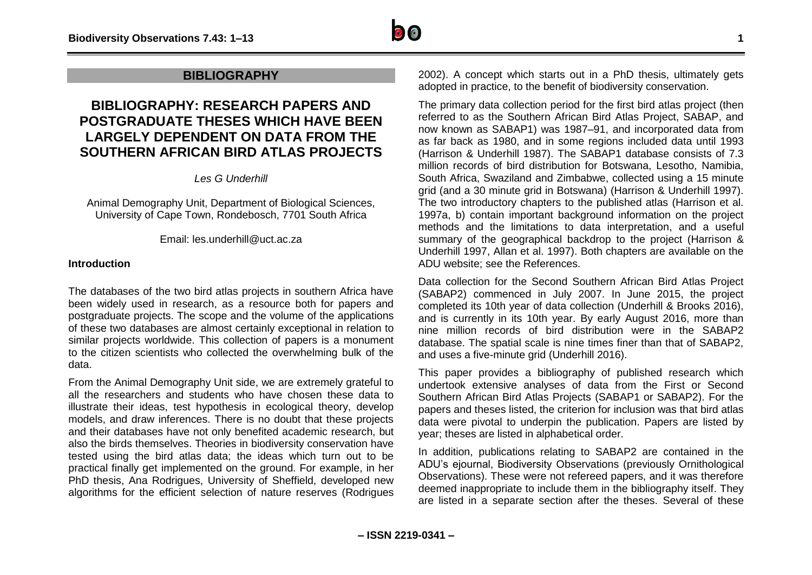

## **BIBLIOGRAPHY**

# **BIBLIOGRAPHY: RESEARCH PAPERS AND POSTGRADUATE THESES WHICH HAVE BEEN LARGELY DEPENDENT ON DATA FROM THE SOUTHERN AFRICAN BIRD ATLAS PROJECTS**

*Les G Underhill*

Animal Demography Unit, Department of Biological Sciences, University of Cape Town, Rondebosch, 7701 South Africa

Email: les.underhill@uct.ac.za

#### **Introduction**

The databases of the two bird atlas projects in southern Africa have been widely used in research, as a resource both for papers and postgraduate projects. The scope and the volume of the applications of these two databases are almost certainly exceptional in relation to similar projects worldwide. This collection of papers is a monument to the citizen scientists who collected the overwhelming bulk of the data.

From the Animal Demography Unit side, we are extremely grateful to all the researchers and students who have chosen these data to illustrate their ideas, test hypothesis in ecological theory, develop models, and draw inferences. There is no doubt that these projects and their databases have not only benefited academic research, but also the birds themselves. Theories in biodiversity conservation have tested using the bird atlas data; the ideas which turn out to be practical finally get implemented on the ground. For example, in her PhD thesis, Ana Rodrigues, University of Sheffield, developed new algorithms for the efficient selection of nature reserves (Rodrigues

2002). A concept which starts out in a PhD thesis, ultimately gets adopted in practice, to the benefit of biodiversity conservation.

The primary data collection period for the first bird atlas project (then referred to as the Southern African Bird Atlas Project, SABAP, and now known as SABAP1) was 1987–91, and incorporated data from as far back as 1980, and in some regions included data until 1993 (Harrison & Underhill 1987). The SABAP1 database consists of 7.3 million records of bird distribution for Botswana, Lesotho, Namibia, South Africa, Swaziland and Zimbabwe, collected using a 15 minute grid (and a 30 minute grid in Botswana) (Harrison & Underhill 1997). The two introductory chapters to the published atlas (Harrison et al. 1997a, b) contain important background information on the project methods and the limitations to data interpretation, and a useful summary of the geographical backdrop to the project (Harrison & Underhill 1997, Allan et al. 1997). Both chapters are available on the ADU website; see the References.

Data collection for the Second Southern African Bird Atlas Project (SABAP2) commenced in July 2007. In June 2015, the project completed its 10th year of data collection (Underhill & Brooks 2016), and is currently in its 10th year. By early August 2016, more than nine million records of bird distribution were in the SABAP2 database. The spatial scale is nine times finer than that of SABAP2, and uses a five-minute grid (Underhill 2016).

This paper provides a bibliography of published research which undertook extensive analyses of data from the First or Second Southern African Bird Atlas Projects (SABAP1 or SABAP2). For the papers and theses listed, the criterion for inclusion was that bird atlas data were pivotal to underpin the publication. Papers are listed by year; theses are listed in alphabetical order.

In addition, publications relating to SABAP2 are contained in the ADU's ejournal, Biodiversity Observations (previously Ornithological Observations). These were not refereed papers, and it was therefore deemed inappropriate to include them in the bibliography itself. They are listed in a separate section after the theses. Several of these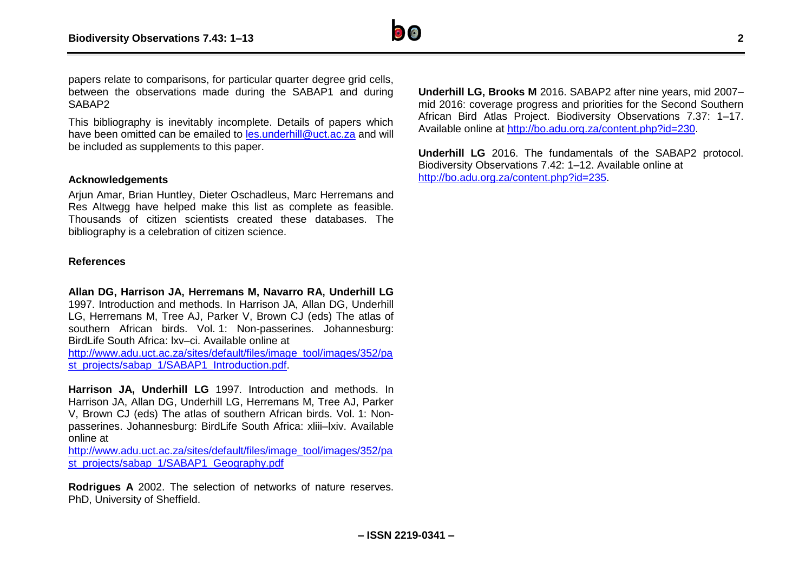

papers relate to comparisons, for particular quarter degree grid cells, between the observations made during the SABAP1 and during SABAP<sub>2</sub>

This bibliography is inevitably incomplete. Details of papers which have been omitted can be emailed to les underhill@uct.ac.za and will be included as supplements to this paper.

#### **Acknowledgements**

Arjun Amar, Brian Huntley, Dieter Oschadleus, Marc Herremans and Res Altwegg have helped make this list as complete as feasible. Thousands of citizen scientists created these databases. The bibliography is a celebration of citizen science.

#### **References**

#### **Allan DG, Harrison JA, Herremans M, Navarro RA, Underhill LG**

1997. Introduction and methods. In Harrison JA, Allan DG, Underhill LG, Herremans M, Tree AJ, Parker V, Brown CJ (eds) The atlas of southern African birds. Vol. 1: Non-passerines. Johannesburg: BirdLife South Africa: lxv–ci. Available online at

[http://www.adu.uct.ac.za/sites/default/files/image\\_tool/images/352/pa](http://www.adu.uct.ac.za/sites/default/files/image_tool/images/352/past_projects/sabap_1/SABAP1_Introduction.pdf) [st\\_projects/sabap\\_1/SABAP1\\_Introduction.pdf.](http://www.adu.uct.ac.za/sites/default/files/image_tool/images/352/past_projects/sabap_1/SABAP1_Introduction.pdf)

**Harrison JA, Underhill LG** 1997. Introduction and methods. In Harrison JA, Allan DG, Underhill LG, Herremans M, Tree AJ, Parker V, Brown CJ (eds) The atlas of southern African birds. Vol. 1: Nonpasserines. Johannesburg: BirdLife South Africa: xliii–lxiv. Available online at

[http://www.adu.uct.ac.za/sites/default/files/image\\_tool/images/352/pa](http://www.adu.uct.ac.za/sites/default/files/image_tool/images/352/past_projects/sabap_1/SABAP1_Geography.pdf) [st\\_projects/sabap\\_1/SABAP1\\_Geography.pdf](http://www.adu.uct.ac.za/sites/default/files/image_tool/images/352/past_projects/sabap_1/SABAP1_Geography.pdf)

**Rodrigues A** 2002. The selection of networks of nature reserves. PhD, University of Sheffield.

**Underhill LG, Brooks M** 2016. SABAP2 after nine years, mid 2007– mid 2016: coverage progress and priorities for the Second Southern African Bird Atlas Project. Biodiversity Observations 7.37: 1–17. Available online at [http://bo.adu.org.za/content.php?id=230.](http://bo.adu.org.za/content.php?id=230)

**Underhill LG** 2016. The fundamentals of the SABAP2 protocol. Biodiversity Observations 7.42: 1–12. Available online at [http://bo.adu.org.za/content.php?id=235.](http://bo.adu.org.za/content.php?id=235)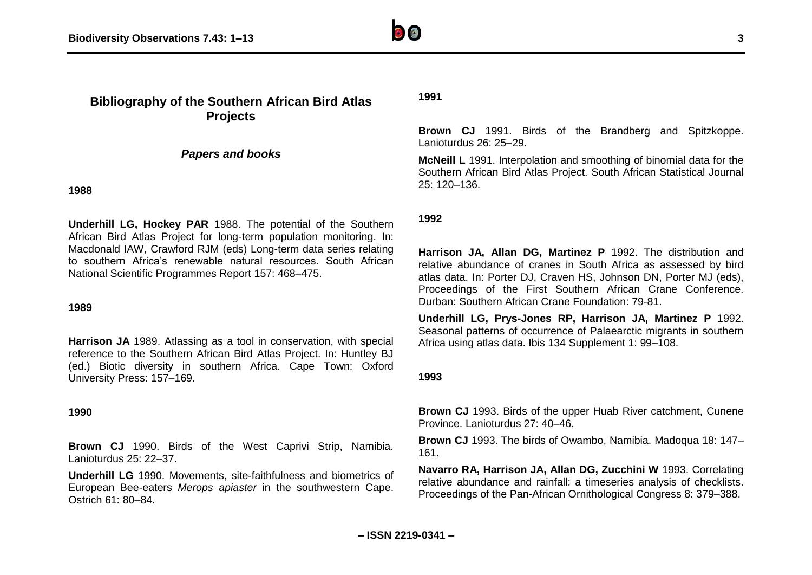

# **Bibliography of the Southern African Bird Atlas Projects**

*Papers and books*

**1988**

**Underhill LG, Hockey PAR** 1988. The potential of the Southern African Bird Atlas Project for long-term population monitoring. In: Macdonald IAW, Crawford RJM (eds) Long-term data series relating to southern Africa's renewable natural resources. South African National Scientific Programmes Report 157: 468–475.

#### **1989**

**Harrison JA** 1989. Atlassing as a tool in conservation, with special reference to the Southern African Bird Atlas Project. In: Huntley BJ (ed.) Biotic diversity in southern Africa. Cape Town: Oxford University Press: 157–169.

#### **1990**

**Brown CJ** 1990. Birds of the West Caprivi Strip, Namibia. Lanioturdus 25: 22–37.

**Underhill LG** 1990. Movements, site-faithfulness and biometrics of European Bee-eaters *Merops apiaster* in the southwestern Cape. Ostrich 61: 80–84.

#### **1991**

**Brown CJ** 1991. Birds of the Brandberg and Spitzkoppe. Lanioturdus 26: 25–29.

**McNeill L** 1991. Interpolation and smoothing of binomial data for the Southern African Bird Atlas Project. South African Statistical Journal 25: 120–136.

#### **1992**

**Harrison JA, Allan DG, Martinez P** 1992. The distribution and relative abundance of cranes in South Africa as assessed by bird atlas data. In: Porter DJ, Craven HS, Johnson DN, Porter MJ (eds), Proceedings of the First Southern African Crane Conference. Durban: Southern African Crane Foundation: 79-81.

**Underhill LG, Prys-Jones RP, Harrison JA, Martinez P** 1992. Seasonal patterns of occurrence of Palaearctic migrants in southern Africa using atlas data. Ibis 134 Supplement 1: 99–108.

#### **1993**

**Brown CJ** 1993. Birds of the upper Huab River catchment, Cunene Province. Lanioturdus 27: 40–46.

**Brown CJ** 1993. The birds of Owambo, Namibia. Madoqua 18: 147– 161.

**Navarro RA, Harrison JA, Allan DG, Zucchini W** 1993. Correlating relative abundance and rainfall: a timeseries analysis of checklists. Proceedings of the Pan-African Ornithological Congress 8: 379–388.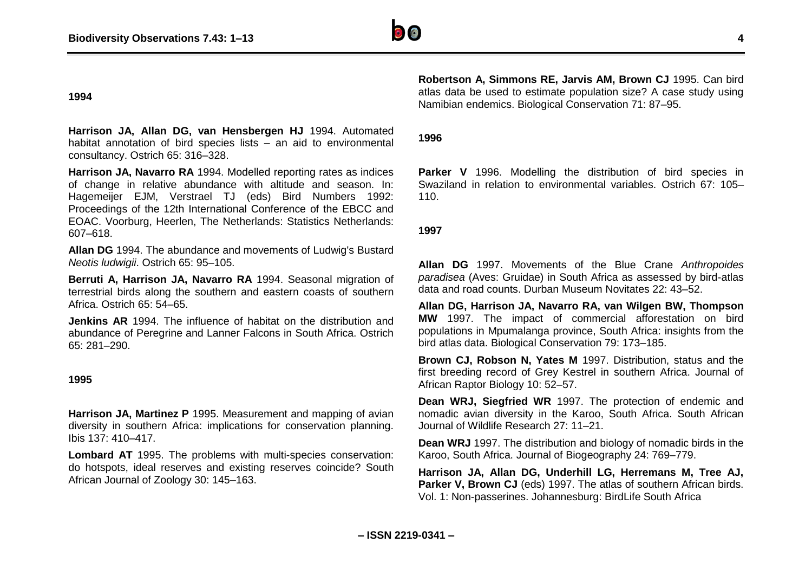

#### **1994**

**Harrison JA, Allan DG, van Hensbergen HJ** 1994. Automated habitat annotation of bird species lists – an aid to environmental consultancy. Ostrich 65: 316–328.

**Harrison JA, Navarro RA** 1994. Modelled reporting rates as indices of change in relative abundance with altitude and season. In: Hagemeijer EJM, Verstrael TJ (eds) Bird Numbers 1992: Proceedings of the 12th International Conference of the EBCC and EOAC. Voorburg, Heerlen, The Netherlands: Statistics Netherlands: 607–618.

**Allan DG** 1994. The abundance and movements of Ludwig's Bustard *Neotis ludwigii*. Ostrich 65: 95–105.

**Berruti A, Harrison JA, Navarro RA** 1994. Seasonal migration of terrestrial birds along the southern and eastern coasts of southern Africa. Ostrich 65: 54–65.

**Jenkins AR** 1994. The influence of habitat on the distribution and abundance of Peregrine and Lanner Falcons in South Africa. Ostrich 65: 281–290.

#### **1995**

**Harrison JA, Martinez P** 1995. Measurement and mapping of avian diversity in southern Africa: implications for conservation planning. Ibis 137: 410–417.

**Lombard AT** 1995. The problems with multi-species conservation: do hotspots, ideal reserves and existing reserves coincide? South African Journal of Zoology 30: 145–163.

**Robertson A, Simmons RE, Jarvis AM, Brown CJ** 1995. Can bird atlas data be used to estimate population size? A case study using Namibian endemics. Biological Conservation 71: 87–95.

#### **1996**

**Parker V** 1996. Modelling the distribution of bird species in Swaziland in relation to environmental variables. Ostrich 67: 105– 110.

#### **1997**

**Allan DG** 1997. Movements of the Blue Crane *Anthropoides paradisea* (Aves: Gruidae) in South Africa as assessed by bird-atlas data and road counts. Durban Museum Novitates 22: 43–52.

**Allan DG, Harrison JA, Navarro RA, van Wilgen BW, Thompson MW** 1997. The impact of commercial afforestation on bird populations in Mpumalanga province, South Africa: insights from the bird atlas data. Biological Conservation 79: 173–185.

**Brown CJ, Robson N, Yates M** 1997. Distribution, status and the first breeding record of Grey Kestrel in southern Africa. Journal of African Raptor Biology 10: 52–57.

**Dean WRJ, Siegfried WR** 1997. The protection of endemic and nomadic avian diversity in the Karoo, South Africa. South African Journal of Wildlife Research 27: 11–21.

**Dean WRJ** 1997. The distribution and biology of nomadic birds in the Karoo, South Africa. Journal of Biogeography 24: 769–779.

**Harrison JA, Allan DG, Underhill LG, Herremans M, Tree AJ, Parker V. Brown CJ** (eds) 1997. The atlas of southern African birds. Vol. 1: Non-passerines. Johannesburg: BirdLife South Africa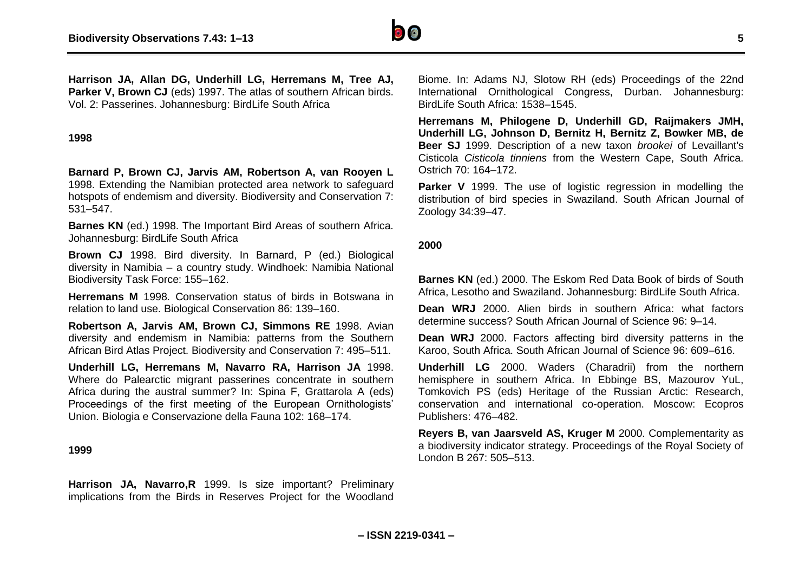

**Harrison JA, Allan DG, Underhill LG, Herremans M, Tree AJ, Parker V, Brown CJ** (eds) 1997. The atlas of southern African birds. Vol. 2: Passerines. Johannesburg: BirdLife South Africa

#### **1998**

**Barnard P, Brown CJ, Jarvis AM, Robertson A, van Rooyen L** 1998. Extending the Namibian protected area network to safeguard hotspots of endemism and diversity. Biodiversity and Conservation 7: 531–547.

**Barnes KN** (ed.) 1998. The Important Bird Areas of southern Africa. Johannesburg: BirdLife South Africa

**Brown CJ** 1998. Bird diversity. In Barnard, P (ed.) Biological diversity in Namibia – a country study. Windhoek: Namibia National Biodiversity Task Force: 155–162.

**Herremans M** 1998. Conservation status of birds in Botswana in relation to land use. Biological Conservation 86: 139–160.

**Robertson A, Jarvis AM, Brown CJ, Simmons RE** 1998. Avian diversity and endemism in Namibia: patterns from the Southern African Bird Atlas Project. Biodiversity and Conservation 7: 495–511.

**Underhill LG, Herremans M, Navarro RA, Harrison JA** 1998. Where do Palearctic migrant passerines concentrate in southern Africa during the austral summer? In: Spina F, Grattarola A (eds) Proceedings of the first meeting of the European Ornithologists' Union. Biologia e Conservazione della Fauna 102: 168–174.

#### **1999**

**Harrison JA, Navarro,R** 1999. Is size important? Preliminary implications from the Birds in Reserves Project for the Woodland

Biome. In: Adams NJ, Slotow RH (eds) Proceedings of the 22nd International Ornithological Congress, Durban. Johannesburg: BirdLife South Africa: 1538-1545.

**Herremans M, Philogene D, Underhill GD, Raijmakers JMH, Underhill LG, Johnson D, Bernitz H, Bernitz Z, Bowker MB, de Beer SJ** 1999. Description of a new taxon *brookei* of Levaillant's Cisticola *Cisticola tinniens* from the Western Cape, South Africa. Ostrich 70: 164–172.

**Parker V** 1999. The use of logistic regression in modelling the distribution of bird species in Swaziland. South African Journal of Zoology 34:39–47.

#### **2000**

**Barnes KN** (ed.) 2000. The Eskom Red Data Book of birds of South Africa, Lesotho and Swaziland. Johannesburg: BirdLife South Africa.

**Dean WRJ** 2000. Alien birds in southern Africa: what factors determine success? South African Journal of Science 96: 9–14.

**Dean WRJ** 2000. Factors affecting bird diversity patterns in the Karoo, South Africa. South African Journal of Science 96: 609–616.

**Underhill LG** 2000. Waders (Charadrii) from the northern hemisphere in southern Africa. In Ebbinge BS, Mazourov YuL, Tomkovich PS (eds) Heritage of the Russian Arctic: Research, conservation and international co-operation. Moscow: Ecopros Publishers: 476–482.

**Reyers B, van Jaarsveld AS, Kruger M** 2000. Complementarity as a biodiversity indicator strategy. Proceedings of the Royal Society of London B 267: 505–513.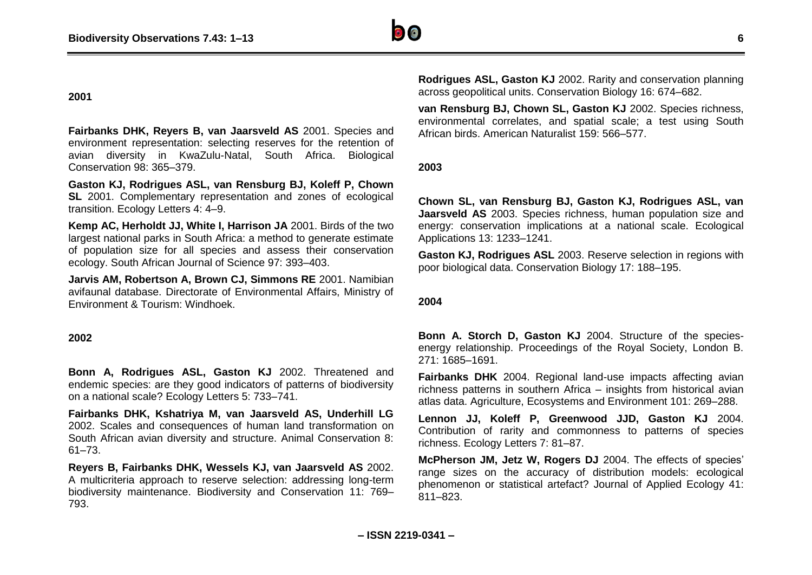#### **2001**

**Fairbanks DHK, Reyers B, van Jaarsveld AS** 2001. Species and environment representation: selecting reserves for the retention of avian diversity in KwaZulu-Natal, South Africa. Biological Conservation 98: 365–379.

**Gaston KJ, Rodrigues ASL, van Rensburg BJ, Koleff P, Chown SL** 2001. Complementary representation and zones of ecological transition. Ecology Letters 4: 4–9.

**Kemp AC, Herholdt JJ, White I, Harrison JA** 2001. Birds of the two largest national parks in South Africa: a method to generate estimate of population size for all species and assess their conservation ecology. South African Journal of Science 97: 393–403.

**Jarvis AM, Robertson A, Brown CJ, Simmons RE** 2001. Namibian avifaunal database. Directorate of Environmental Affairs, Ministry of Environment & Tourism: Windhoek.

#### **2002**

**Bonn A, Rodrigues ASL, Gaston KJ** 2002. Threatened and endemic species: are they good indicators of patterns of biodiversity on a national scale? Ecology Letters 5: 733–741.

**Fairbanks DHK, Kshatriya M, van Jaarsveld AS, Underhill LG** 2002. Scales and consequences of human land transformation on South African avian diversity and structure. Animal Conservation 8: 61–73.

**Reyers B, Fairbanks DHK, Wessels KJ, van Jaarsveld AS** 2002. A multicriteria approach to reserve selection: addressing long-term biodiversity maintenance. Biodiversity and Conservation 11: 769– 793.

**Rodrigues ASL, Gaston KJ** 2002. Rarity and conservation planning across geopolitical units. Conservation Biology 16: 674–682.

**van Rensburg BJ, Chown SL, Gaston KJ** 2002. Species richness, environmental correlates, and spatial scale; a test using South African birds. American Naturalist 159: 566–577.

**2003**

**Chown SL, van Rensburg BJ, Gaston KJ, Rodrigues ASL, van Jaarsveld AS** 2003. Species richness, human population size and energy: conservation implications at a national scale. Ecological Applications 13: 1233–1241.

**Gaston KJ, Rodrigues ASL** 2003. Reserve selection in regions with poor biological data. Conservation Biology 17: 188–195.

#### **2004**

**Bonn A. Storch D, Gaston KJ** 2004. Structure of the speciesenergy relationship. Proceedings of the Royal Society, London B. 271: 1685–1691.

**Fairbanks DHK** 2004. Regional land-use impacts affecting avian richness patterns in southern Africa – insights from historical avian atlas data. Agriculture, Ecosystems and Environment 101: 269–288.

**Lennon JJ, Koleff P, Greenwood JJD, Gaston KJ** 2004. Contribution of rarity and commonness to patterns of species richness. Ecology Letters 7: 81–87.

**McPherson JM, Jetz W, Rogers DJ** 2004. The effects of species' range sizes on the accuracy of distribution models: ecological phenomenon or statistical artefact? Journal of Applied Ecology 41: 811–823.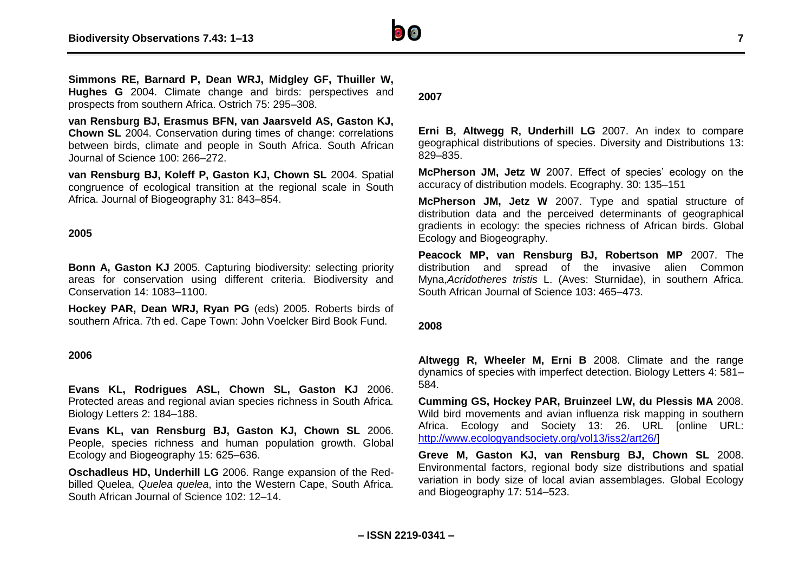

**Simmons RE, Barnard P, Dean WRJ, Midgley GF, Thuiller W, Hughes G** 2004. Climate change and birds: perspectives and prospects from southern Africa. Ostrich 75: 295–308.

**van Rensburg BJ, Erasmus BFN, van Jaarsveld AS, Gaston KJ, Chown SL** 2004. Conservation during times of change: correlations between birds, climate and people in South Africa. South African Journal of Science 100: 266–272.

**van Rensburg BJ, Koleff P, Gaston KJ, Chown SL** 2004. Spatial congruence of ecological transition at the regional scale in South Africa. Journal of Biogeography 31: 843–854.

#### **2005**

**Bonn A, Gaston KJ** 2005. Capturing biodiversity: selecting priority areas for conservation using different criteria. Biodiversity and Conservation 14: 1083–1100.

**Hockey PAR, Dean WRJ, Ryan PG** (eds) 2005. Roberts birds of southern Africa. 7th ed. Cape Town: John Voelcker Bird Book Fund.

#### **2006**

**Evans KL, Rodrigues ASL, Chown SL, Gaston KJ** 2006. Protected areas and regional avian species richness in South Africa. Biology Letters 2: 184–188.

**Evans KL, van Rensburg BJ, Gaston KJ, Chown SL** 2006. People, species richness and human population growth. Global Ecology and Biogeography 15: 625–636.

**Oschadleus HD, Underhill LG** 2006. Range expansion of the Redbilled Quelea, *Quelea quelea*, into the Western Cape, South Africa. South African Journal of Science 102: 12–14.

#### **2007**

**Erni B, Altwegg R, Underhill LG** 2007. An index to compare geographical distributions of species. Diversity and Distributions 13: 829–835.

**McPherson JM, Jetz W** 2007. Effect of species' ecology on the accuracy of distribution models. Ecography. 30: 135–151

**McPherson JM, Jetz W** 2007. Type and spatial structure of distribution data and the perceived determinants of geographical gradients in ecology: the species richness of African birds. Global Ecology and Biogeography.

**Peacock MP, van Rensburg BJ, Robertson MP** 2007. The distribution and spread of the invasive alien Common Myna,*Acridotheres tristis* L. (Aves: Sturnidae), in southern Africa. South African Journal of Science 103: 465–473.

#### **2008**

**Altwegg R, Wheeler M, Erni B** 2008. Climate and the range dynamics of species with imperfect detection. Biology Letters 4: 581– 584.

**Cumming GS, Hockey PAR, Bruinzeel LW, du Plessis MA** 2008. Wild bird movements and avian influenza risk mapping in southern Africa. Ecology and Society 13: 26. URL [online URL: [http://www.ecologyandsociety.org/vol13/iss2/art26/\]](http://www.ecologyandsociety.org/vol13/iss2/art26/)

**Greve M, Gaston KJ, van Rensburg BJ, Chown SL** 2008. Environmental factors, regional body size distributions and spatial variation in body size of local avian assemblages. Global Ecology and Biogeography 17: 514–523.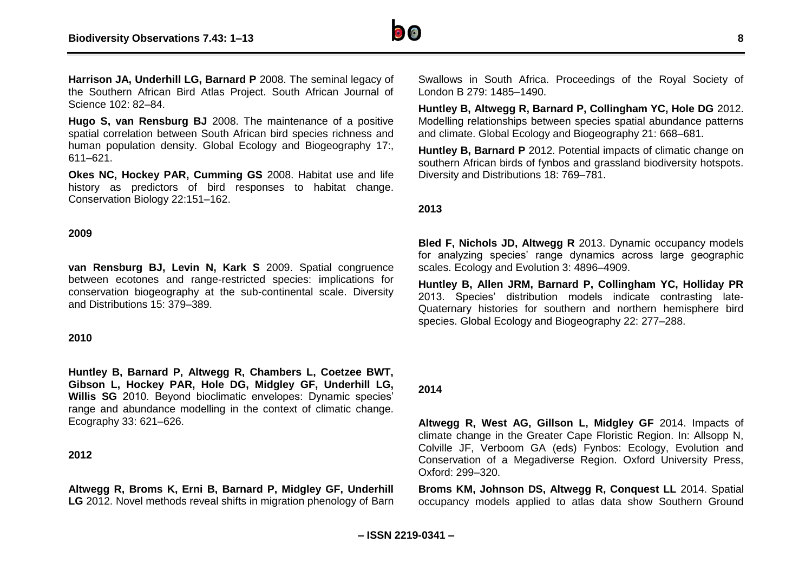

**Harrison JA, Underhill LG, Barnard P** 2008. The seminal legacy of the Southern African Bird Atlas Project. South African Journal of Science 102: 82–84.

**Hugo S, van Rensburg BJ** 2008. The maintenance of a positive spatial correlation between South African bird species richness and human population density. Global Ecology and Biogeography 17:, 611–621.

**Okes NC, Hockey PAR, Cumming GS** 2008. Habitat use and life history as predictors of bird responses to habitat change. Conservation Biology 22:151–162.

#### **2009**

**van Rensburg BJ, Levin N, Kark S** 2009. Spatial congruence between ecotones and range-restricted species: implications for conservation biogeography at the sub-continental scale. Diversity and Distributions 15: 379–389.

#### **2010**

**Huntley B, Barnard P, Altwegg R, Chambers L, Coetzee BWT, Gibson L, Hockey PAR, Hole DG, Midgley GF, Underhill LG, Willis SG** 2010. Beyond bioclimatic envelopes: Dynamic species' range and abundance modelling in the context of climatic change. Ecography 33: 621–626.

#### **2012**

**Altwegg R, Broms K, Erni B, Barnard P, Midgley GF, Underhill LG** 2012. Novel methods reveal shifts in migration phenology of Barn

Swallows in South Africa. Proceedings of the Royal Society of London B 279: 1485–1490.

**Huntley B, Altwegg R, Barnard P, Collingham YC, Hole DG** 2012. Modelling relationships between species spatial abundance patterns and climate. Global Ecology and Biogeography 21: 668–681.

**Huntley B. Barnard P** 2012. Potential impacts of climatic change on southern African birds of fynbos and grassland biodiversity hotspots. Diversity and Distributions 18: 769–781.

#### **2013**

**Bled F, Nichols JD, Altwegg R** 2013. Dynamic occupancy models for analyzing species' range dynamics across large geographic scales. Ecology and Evolution 3: 4896–4909.

**Huntley B, Allen JRM, Barnard P, Collingham YC, Holliday PR** 2013. Species' distribution models indicate contrasting late-Quaternary histories for southern and northern hemisphere bird species. Global Ecology and Biogeography 22: 277–288.

#### **2014**

**Altwegg R, West AG, Gillson L, Midgley GF** 2014. Impacts of climate change in the Greater Cape Floristic Region. In: Allsopp N, Colville JF, Verboom GA (eds) Fynbos: Ecology, Evolution and Conservation of a Megadiverse Region. Oxford University Press, Oxford: 299–320.

**Broms KM, Johnson DS, Altwegg R, Conquest LL** 2014. Spatial occupancy models applied to atlas data show Southern Ground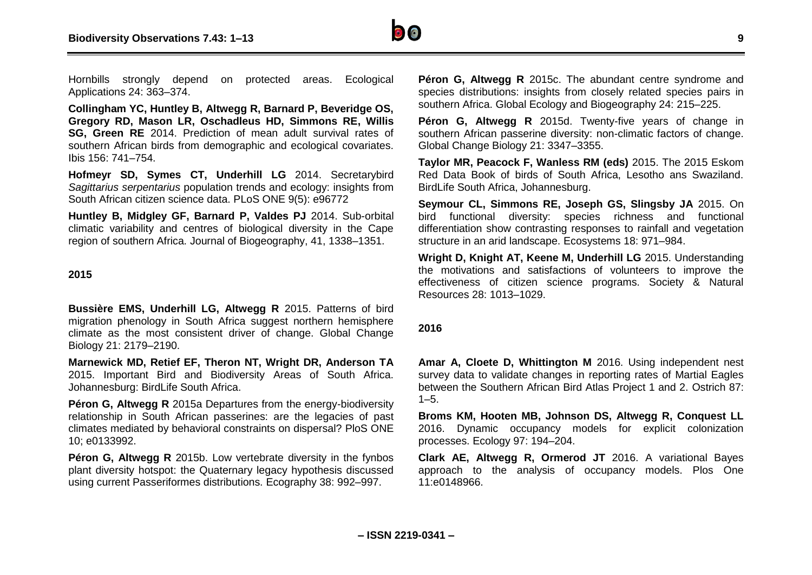

Hornbills strongly depend on protected areas. Ecological Applications 24: 363–374.

**Collingham YC, Huntley B, Altwegg R, Barnard P, Beveridge OS, Gregory RD, Mason LR, Oschadleus HD, Simmons RE, Willis SG, Green RE** 2014. Prediction of mean adult survival rates of southern African birds from demographic and ecological covariates. Ibis 156: 741–754.

**Hofmeyr SD, Symes CT, Underhill LG** 2014. Secretarybird *Sagittarius serpentarius* population trends and ecology: insights from South African citizen science data. PLoS ONE 9(5): e96772

**Huntley B, Midgley GF, Barnard P, Valdes PJ** 2014. Sub-orbital climatic variability and centres of biological diversity in the Cape region of southern Africa. Journal of Biogeography, 41, 1338–1351.

#### **2015**

**Bussière EMS, Underhill LG, Altwegg R** 2015. Patterns of bird migration phenology in South Africa suggest northern hemisphere climate as the most consistent driver of change. Global Change Biology 21: 2179–2190.

**Marnewick MD, Retief EF, Theron NT, Wright DR, Anderson TA** 2015. Important Bird and Biodiversity Areas of South Africa. Johannesburg: BirdLife South Africa.

**Péron G. Altwegg R** 2015a Departures from the energy-biodiversity relationship in South African passerines: are the legacies of past climates mediated by behavioral constraints on dispersal? PloS ONE 10; e0133992.

**Péron G. Altwegg R** 2015b. Low vertebrate diversity in the fynbos plant diversity hotspot: the Quaternary legacy hypothesis discussed using current Passeriformes distributions. Ecography 38: 992–997.

**Péron G, Altwegg R** 2015c. The abundant centre syndrome and species distributions: insights from closely related species pairs in southern Africa. Global Ecology and Biogeography 24: 215–225.

**Péron G, Altwegg R** 2015d. Twenty-five years of change in southern African passerine diversity: non-climatic factors of change. Global Change Biology 21: 3347–3355.

**Taylor MR, Peacock F, Wanless RM (eds)** 2015. The 2015 Eskom Red Data Book of birds of South Africa, Lesotho ans Swaziland. BirdLife South Africa, Johannesburg.

**Seymour CL, Simmons RE, Joseph GS, Slingsby JA** 2015. On bird functional diversity: species richness and functional differentiation show contrasting responses to rainfall and vegetation structure in an arid landscape. Ecosystems 18: 971–984.

**Wright D, Knight AT, Keene M, Underhill LG** 2015. Understanding the motivations and satisfactions of volunteers to improve the effectiveness of citizen science programs. Society & Natural Resources 28: 1013–1029.

#### **2016**

**Amar A, Cloete D, Whittington M** 2016. Using independent nest survey data to validate changes in reporting rates of Martial Eagles between the Southern African Bird Atlas Project 1 and 2. Ostrich 87:  $1 - 5$ .

**Broms KM, Hooten MB, Johnson DS, Altwegg R, Conquest LL** 2016. Dynamic occupancy models for explicit colonization processes. Ecology 97: 194–204.

**Clark AE, Altwegg R, Ormerod JT** 2016. A variational Bayes approach to the analysis of occupancy models. Plos One 11:e0148966.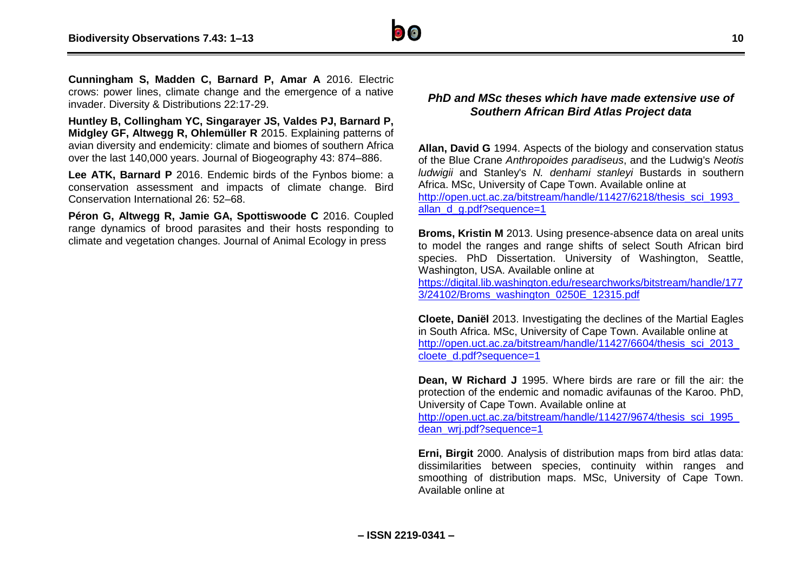

**Cunningham S, Madden C, Barnard P, Amar A** 2016. Electric crows: power lines, climate change and the emergence of a native invader. Diversity & Distributions 22:17-29.

**Huntley B, Collingham YC, Singarayer JS, Valdes PJ, Barnard P, Midgley GF, Altwegg R, Ohlemüller R** 2015. Explaining patterns of avian diversity and endemicity: climate and biomes of southern Africa over the last 140,000 years. Journal of Biogeography 43: 874–886.

**Lee ATK, Barnard P** 2016. Endemic birds of the Fynbos biome: a conservation assessment and impacts of climate change. Bird Conservation International 26: 52–68.

**Péron G, Altwegg R, Jamie GA, Spottiswoode C** 2016. Coupled range dynamics of brood parasites and their hosts responding to climate and vegetation changes. Journal of Animal Ecology in press

## *PhD and MSc theses which have made extensive use of Southern African Bird Atlas Project data*

**Allan, David G** 1994. Aspects of the biology and conservation status of the Blue Crane *Anthropoides paradiseus*, and the Ludwig's *Neotis ludwigii* and Stanley's *N. denhami stanleyi* Bustards in southern Africa. MSc, University of Cape Town. Available online at http://open.uct.ac.za/bitstream/handle/11427/6218/thesis\_sci\_1993 allan d g.pdf?sequence=1

**Broms, Kristin M** 2013. Using presence-absence data on areal units to model the ranges and range shifts of select South African bird species. PhD Dissertation. University of Washington, Seattle, Washington, USA. Available online at

[https://digital.lib.washington.edu/researchworks/bitstream/handle/177](https://digital.lib.washington.edu/researchworks/bitstream/handle/1773/24102/Broms_washington_0250E_12315.pdf) [3/24102/Broms\\_washington\\_0250E\\_12315.pdf](https://digital.lib.washington.edu/researchworks/bitstream/handle/1773/24102/Broms_washington_0250E_12315.pdf)

**Cloete, Daniël** 2013. Investigating the declines of the Martial Eagles in South Africa. MSc, University of Cape Town. Available online at [http://open.uct.ac.za/bitstream/handle/11427/6604/thesis\\_sci\\_2013\\_](http://open.uct.ac.za/bitstream/handle/11427/6604/thesis_sci_2013_cloete_d.pdf?sequence=1) [cloete\\_d.pdf?sequence=1](http://open.uct.ac.za/bitstream/handle/11427/6604/thesis_sci_2013_cloete_d.pdf?sequence=1)

**Dean, W Richard J** 1995. Where birds are rare or fill the air: the protection of the endemic and nomadic avifaunas of the Karoo. PhD, University of Cape Town. Available online at

http://open.uct.ac.za/bitstream/handle/11427/9674/thesis\_sci\_1995 dean\_wri.pdf?sequence=1

**Erni, Birgit** 2000. Analysis of distribution maps from bird atlas data: dissimilarities between species, continuity within ranges and smoothing of distribution maps. MSc, University of Cape Town. Available online at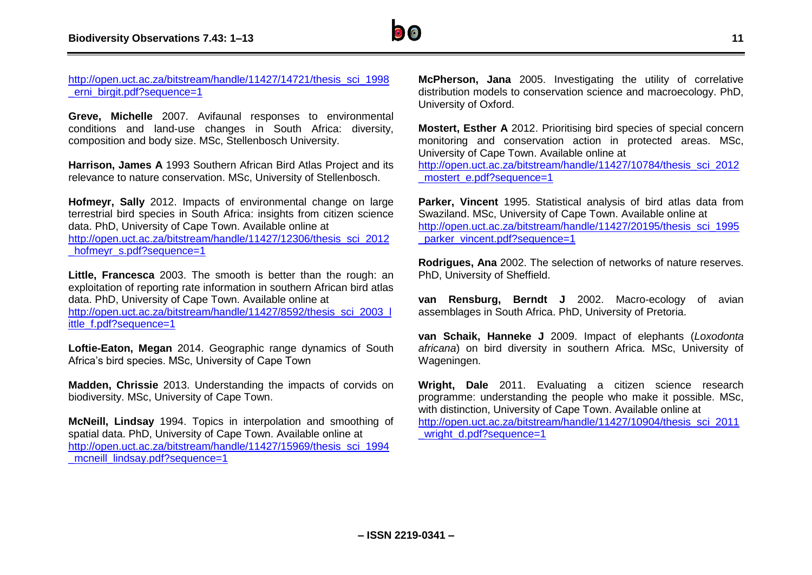

#### [http://open.uct.ac.za/bitstream/handle/11427/14721/thesis\\_sci\\_1998](http://open.uct.ac.za/bitstream/handle/11427/14721/thesis_sci_1998_erni_birgit.pdf?sequence=1) erni\_birgit.pdf?sequence=1

**Greve, Michelle** 2007. Avifaunal responses to environmental conditions and land-use changes in South Africa: diversity, composition and body size. MSc, Stellenbosch University.

**Harrison, James A** 1993 Southern African Bird Atlas Project and its relevance to nature conservation. MSc, University of Stellenbosch.

**Hofmeyr, Sally** 2012. Impacts of environmental change on large terrestrial bird species in South Africa: insights from citizen science data. PhD, University of Cape Town. Available online at [http://open.uct.ac.za/bitstream/handle/11427/12306/thesis\\_sci\\_2012](http://open.uct.ac.za/bitstream/handle/11427/12306/thesis_sci_2012_hofmeyr_s.pdf?sequence=1) hofmeyr\_s.pdf?sequence=1

**Little, Francesca** 2003. The smooth is better than the rough: an exploitation of reporting rate information in southern African bird atlas data. PhD, University of Cape Town. Available online at [http://open.uct.ac.za/bitstream/handle/11427/8592/thesis\\_sci\\_2003\\_l](http://open.uct.ac.za/bitstream/handle/11427/8592/thesis_sci_2003_little_f.pdf?sequence=1) [ittle\\_f.pdf?sequence=1](http://open.uct.ac.za/bitstream/handle/11427/8592/thesis_sci_2003_little_f.pdf?sequence=1)

**Loftie-Eaton, Megan** 2014. Geographic range dynamics of South Africa's bird species. MSc, University of Cape Town

**Madden, Chrissie** 2013. Understanding the impacts of corvids on biodiversity. MSc, University of Cape Town.

**McNeill, Lindsay** 1994. Topics in interpolation and smoothing of spatial data. PhD, University of Cape Town. Available online at [http://open.uct.ac.za/bitstream/handle/11427/15969/thesis\\_sci\\_1994](http://open.uct.ac.za/bitstream/handle/11427/15969/thesis_sci_1994_mcneill_lindsay.pdf?sequence=1) mcneill\_lindsay.pdf?sequence=1

**McPherson, Jana** 2005. Investigating the utility of correlative distribution models to conservation science and macroecology. PhD, University of Oxford.

**Mostert, Esther A** 2012. Prioritising bird species of special concern monitoring and conservation action in protected areas. MSc, University of Cape Town. Available online at [http://open.uct.ac.za/bitstream/handle/11427/10784/thesis\\_sci\\_2012](http://open.uct.ac.za/bitstream/handle/11427/10784/thesis_sci_2012_mostert_e.pdf?sequence=1)

[\\_mostert\\_e.pdf?sequence=1](http://open.uct.ac.za/bitstream/handle/11427/10784/thesis_sci_2012_mostert_e.pdf?sequence=1)

**Parker, Vincent** 1995. Statistical analysis of bird atlas data from Swaziland. MSc, University of Cape Town. Available online at [http://open.uct.ac.za/bitstream/handle/11427/20195/thesis\\_sci\\_1995](http://open.uct.ac.za/bitstream/handle/11427/20195/thesis_sci_1995_parker_vincent.pdf?sequence=1) parker\_vincent.pdf?sequence=1

**Rodrigues, Ana** 2002. The selection of networks of nature reserves. PhD, University of Sheffield.

**van Rensburg, Berndt J** 2002. Macro-ecology of avian assemblages in South Africa. PhD, University of Pretoria.

**van Schaik, Hanneke J** 2009. Impact of elephants (*Loxodonta africana*) on bird diversity in southern Africa. MSc, University of Wageningen.

**Wright, Dale** 2011. Evaluating a citizen science research programme: understanding the people who make it possible. MSc, with distinction, University of Cape Town. Available online at [http://open.uct.ac.za/bitstream/handle/11427/10904/thesis\\_sci\\_2011](http://open.uct.ac.za/bitstream/handle/11427/10904/thesis_sci_2011_wright_d.pdf?sequence=1) wright\_d.pdf?sequence=1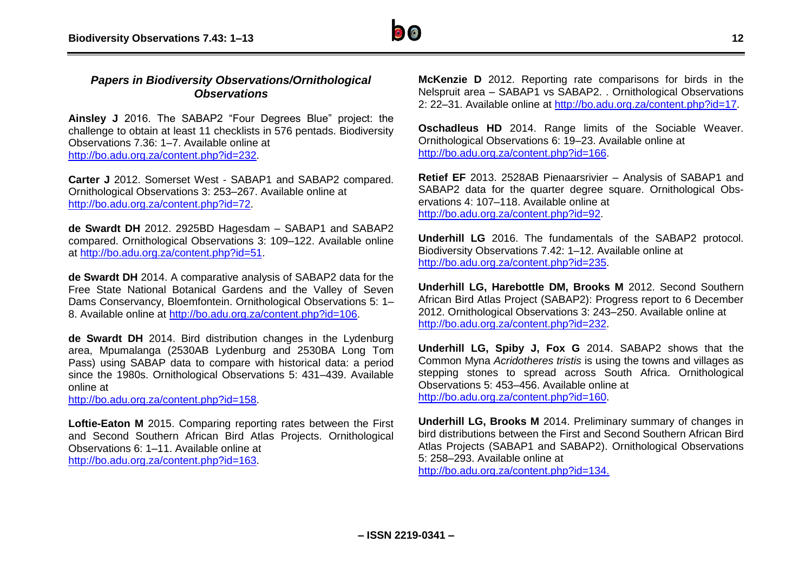

## *Papers in Biodiversity Observations/Ornithological Observations*

**Ainsley J** 2016. The SABAP2 "Four Degrees Blue" project: the challenge to obtain at least 11 checklists in 576 pentads. Biodiversity Observations 7.36: 1–7. Available online at [http://bo.adu.org.za/content.php?id=232.](http://bo.adu.org.za/content.php?id=232)

**Carter J** 2012. Somerset West - SABAP1 and SABAP2 compared. Ornithological Observations 3: 253–267. Available online at [http://bo.adu.org.za/content.php?id=72.](http://bo.adu.org.za/content.php?id=72)

**de Swardt DH** 2012. 2925BD Hagesdam – SABAP1 and SABAP2 compared. Ornithological Observations 3: 109–122. Available online at [http://bo.adu.org.za/content.php?id=51.](http://bo.adu.org.za/content.php?id=51)

**de Swardt DH** 2014. A comparative analysis of SABAP2 data for the Free State National Botanical Gardens and the Valley of Seven Dams Conservancy, Bloemfontein. Ornithological Observations 5: 1– 8. Available online at [http://bo.adu.org.za/content.php?id=106.](http://bo.adu.org.za/content.php?id=106)

**de Swardt DH** 2014. Bird distribution changes in the Lydenburg area, Mpumalanga (2530AB Lydenburg and 2530BA Long Tom Pass) using SABAP data to compare with historical data: a period since the 1980s. Ornithological Observations 5: 431–439. Available online at

[http://bo.adu.org.za/content.php?id=158.](http://bo.adu.org.za/content.php?id=158)

**Loftie-Eaton M** 2015. Comparing reporting rates between the First and Second Southern African Bird Atlas Projects. Ornithological Observations 6: 1–11. Available online at [http://bo.adu.org.za/content.php?id=163.](http://bo.adu.org.za/content.php?id=163)

**McKenzie D** 2012. Reporting rate comparisons for birds in the Nelspruit area – SABAP1 vs SABAP2. . Ornithological Observations 2: 22–31. Available online at [http://bo.adu.org.za/content.php?id=17.](http://bo.adu.org.za/content.php?id=17)

**Oschadleus HD** 2014. Range limits of the Sociable Weaver. Ornithological Observations 6: 19–23. Available online at [http://bo.adu.org.za/content.php?id=166.](http://bo.adu.org.za/content.php?id=166)

**Retief EF** 2013. 2528AB Pienaarsrivier – Analysis of SABAP1 and SABAP2 data for the quarter degree square. Ornithological Observations 4: 107–118. Available online at [http://bo.adu.org.za/content.php?id=92.](http://bo.adu.org.za/content.php?id=92)

**Underhill LG** 2016. The fundamentals of the SABAP2 protocol. Biodiversity Observations 7.42: 1–12. Available online at [http://bo.adu.org.za/content.php?id=235.](http://bo.adu.org.za/content.php?id=235)

**Underhill LG, Harebottle DM, Brooks M** 2012. Second Southern African Bird Atlas Project (SABAP2): Progress report to 6 December 2012. Ornithological Observations 3: 243–250. Available online at [http://bo.adu.org.za/content.php?id=232.](http://bo.adu.org.za/content.php?id=232)

**Underhill LG, Spiby J, Fox G** 2014. SABAP2 shows that the Common Myna *Acridotheres tristis* is using the towns and villages as stepping stones to spread across South Africa. Ornithological Observations 5: 453–456. Available online at [http://bo.adu.org.za/content.php?id=160.](http://bo.adu.org.za/content.php?id=160)

**Underhill LG, Brooks M** 2014. Preliminary summary of changes in bird distributions between the First and Second Southern African Bird Atlas Projects (SABAP1 and SABAP2). Ornithological Observations 5: 258–293. Available online at [http://bo.adu.org.za/content.php?id=134.](http://bo.adu.org.za/content.php?id=134)